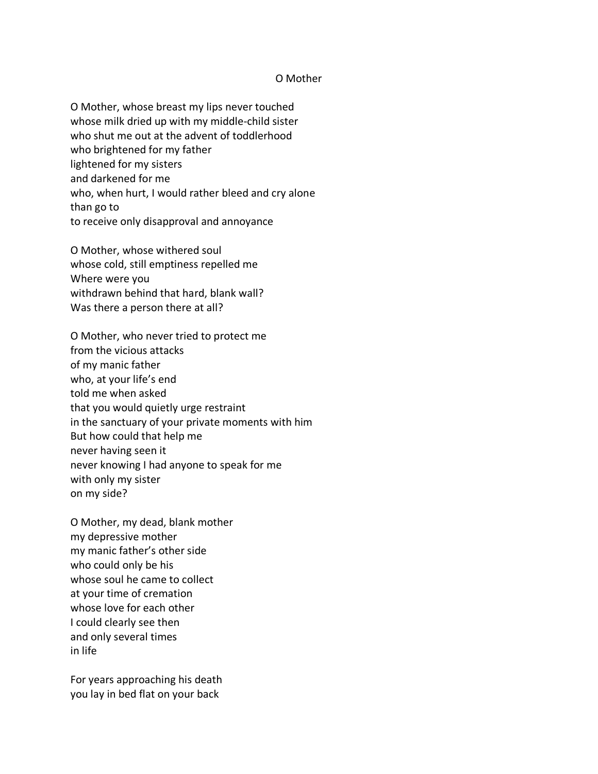## O Mother

O Mother, whose breast my lips never touched whose milk dried up with my middle-child sister who shut me out at the advent of toddlerhood who brightened for my father lightened for my sisters and darkened for me who, when hurt, I would rather bleed and cry alone than go to to receive only disapproval and annoyance

O Mother, whose withered soul whose cold, still emptiness repelled me Where were you withdrawn behind that hard, blank wall? Was there a person there at all?

O Mother, who never tried to protect me from the vicious attacks of my manic father who, at your life's end told me when asked that you would quietly urge restraint in the sanctuary of your private moments with him But how could that help me never having seen it never knowing I had anyone to speak for me with only my sister on my side?

O Mother, my dead, blank mother my depressive mother my manic father's other side who could only be his whose soul he came to collect at your time of cremation whose love for each other I could clearly see then and only several times in life

For years approaching his death you lay in bed flat on your back